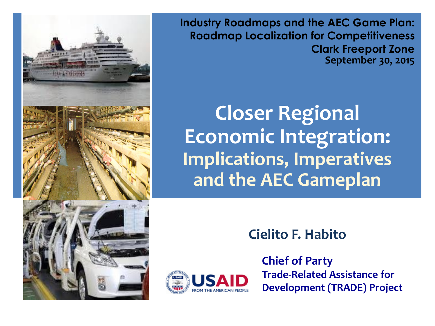

**Industry Roadmaps and the AEC Game Plan: Roadmap Localization for Competitiveness Clark Freeport Zone September 30, 2015**

**Closer Regional Economic Integration: Implications, Imperatives and the AEC Gameplan**

**Cielito F. Habito**



**Trade-Related Assistance for Development (TRADE) Project Chief of Party**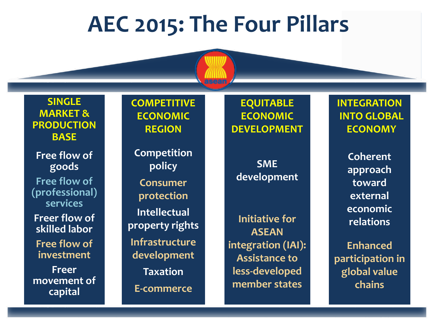### **AEC 2015: The Four Pillars**

**SINGLE MARKET & PRODUCTION BASE**

**Free flow of goods Free flow of (professional) services Freer flow of skilled labor Free flow of investment Freer movement of capital**

**COMPETITIVE ECONOMIC REGION**

**Competition policy Consumer protection Intellectual property rights Infrastructure development Taxation E-commerce**

**EQUITABLE ECONOMIC DEVELOPMENT**

**SME development**

**Initiative for ASEAN integration (IAI): Assistance to less-developed member states**

**INTEGRATION INTO GLOBAL ECONOMY**

> **Coherent approach toward external economic relations**

**Enhanced participation in global value chains**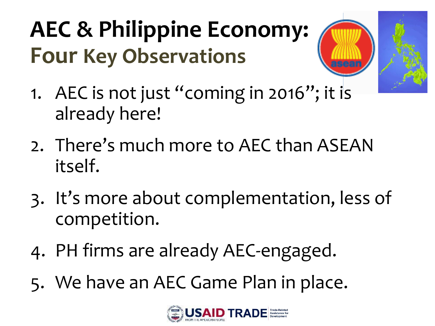## **AEC & Philippine Economy: Four Key Observations**



- 1. AEC is not just "coming in 2016"; it is already here!
- 2. There's much more to AEC than ASEAN itself.
- 3. It's more about complementation, less of competition.
- 4. PH firms are already AEC-engaged.
- 5. We have an AEC Game Plan in place.

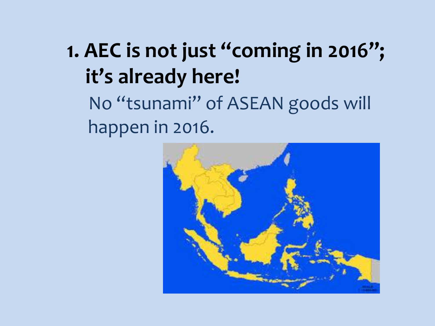### **1. AEC is not just "coming in 2016"; it's already here!**

No "tsunami" of ASEAN goods will happen in 2016.

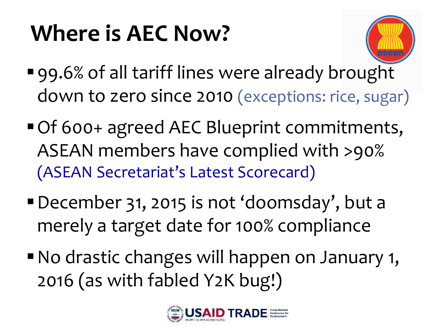# **Where is AEC Now?**



- 99.6% of all tariff lines were already brought down to zero since 2010 (exceptions: rice, sugar)
- Of 600+ agreed AEC Blueprint commitments, ASEAN members have complied with >90% (ASEAN Secretariat's Latest Scorecard)
- December 31, 2015 is not 'doomsday', but a merely a target date for 100% compliance
- No drastic changes will happen on January 1, 2016 (as with fabled Y2K bug!)

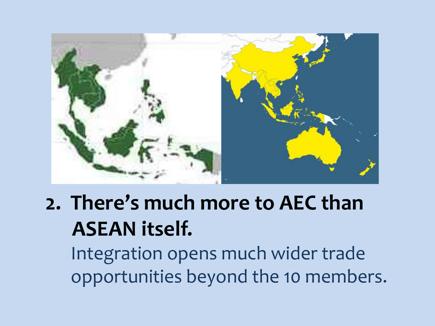

### **2. There's much more to AEC than ASEAN itself.**

Integration opens much wider trade opportunities beyond the 10 members.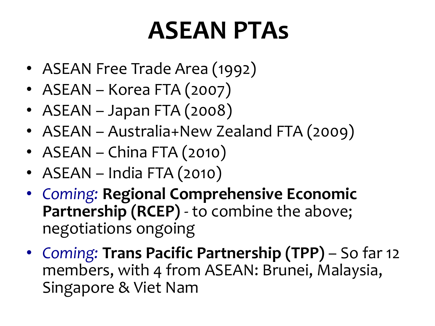# **ASEAN PTAs**

- ASEAN Free Trade Area (1992)
- ASEAN Korea FTA (2007)
- ASEAN Japan FTA (2008)
- ASEAN Australia+New Zealand FTA (2009)
- ASEAN China FTA (2010)
- ASEAN India FTA (2010)
- *Coming:* **Regional Comprehensive Economic Partnership (RCEP)** - to combine the above; negotiations ongoing
- *Coming:* **Trans Pacific Partnership (TPP)**  So far 12 members, with 4 from ASEAN: Brunei, Malaysia, Singapore & Viet Nam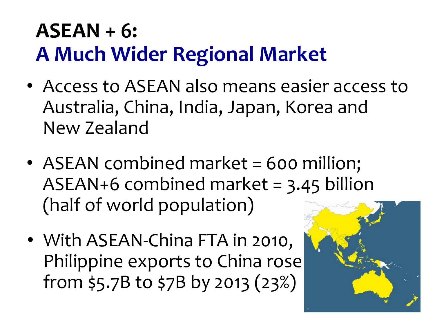#### **ASEAN + 6: A Much Wider Regional Market**

- Access to ASEAN also means easier access to Australia, China, India, Japan, Korea and New Zealand
- ASEAN combined market = 600 million; ASEAN+6 combined market = 3.45 billion (half of world population)
- With ASEAN-China FTA in 2010, Philippine exports to China rose from \$5.7B to \$7B by 2013 (23%)

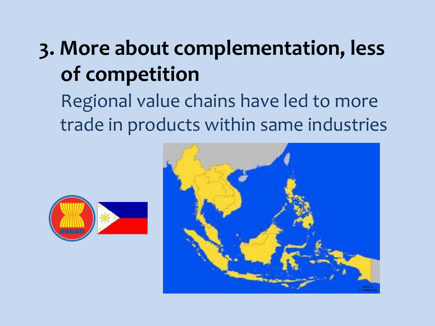### **3. More about complementation, less of competition**

Regional value chains have led to more trade in products within same industries



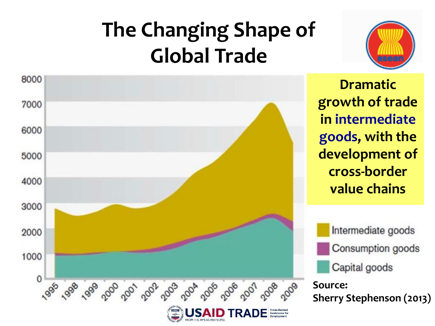## **The Changing Shape of Global Trade**





**Dramatic growth of trade in intermediate goods, with the development of cross-border value chains**

Intermediate goods Consumption goods Capital goods

**Source: Sherry Stephenson (2013)**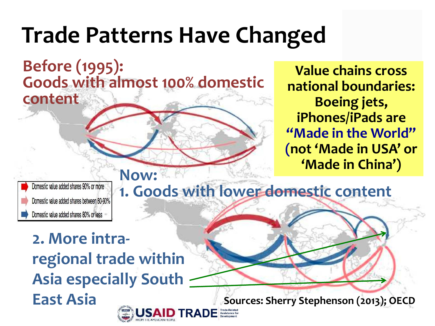## **Trade Patterns Have Changed**

**Before (1995): Goods with almost 100% domestic content** 

**Value chains cross national boundaries: Boeing jets, iPhones/iPads are "Made in the World" (not 'Made in USA' or 'Made in China')**

lomestic value added shares 90% or more Domestic value added shares between 80-90% Domestic value added shares 80% or less

**Now: 1. Goods with lower domestic content**

**2. More intraregional trade within Asia especially South East Asia**

**Sources: Sherry Stephenson (2013); OECD**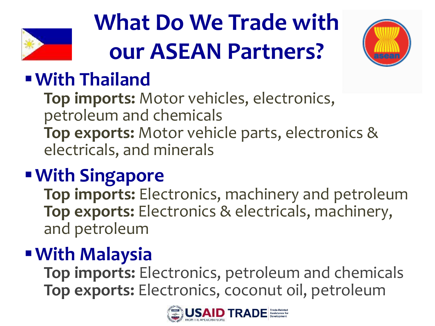

# **What Do We Trade with our ASEAN Partners?**



#### **With Thailand**

**Top imports:** Motor vehicles, electronics, petroleum and chemicals **Top exports:** Motor vehicle parts, electronics & electricals, and minerals

#### **With Singapore**

**Top imports:** Electronics, machinery and petroleum **Top exports:** Electronics & electricals, machinery, and petroleum

#### **With Malaysia**

**Top imports:** Electronics, petroleum and chemicals **Top exports:** Electronics, coconut oil, petroleum

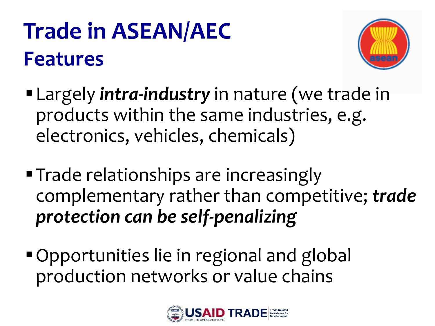## **Trade in ASEAN/AEC Features**



- Largely *intra-industry* in nature (we trade in products within the same industries, e.g. electronics, vehicles, chemicals)
- **Trade relationships are increasingly** complementary rather than competitive; *trade protection can be self-penalizing*
- Opportunities lie in regional and global production networks or value chains

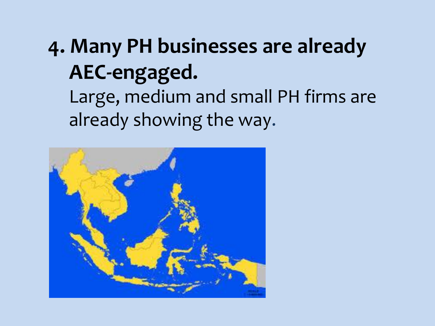### **4. Many PH businesses are already AEC-engaged.** Large, medium and small PH firms are

already showing the way.

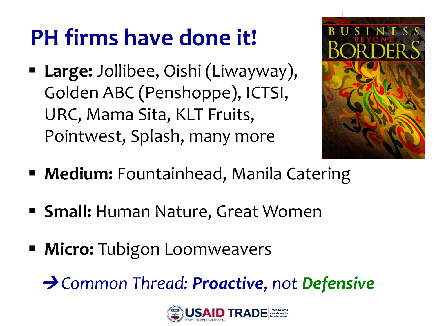## **PH firms have done it!**

 **Large:** Jollibee, Oishi (Liwayway), Golden ABC (Penshoppe), ICTSI, URC, Mama Sita, KLT Fruits, Pointwest, Splash, many more



- **Medium:** Fountainhead, Manila Catering
- **Small: Human Nature, Great Women**
- **Micro:** Tubigon Loomweavers

 $\rightarrow$  Common Thread: Proactive, not Defensive

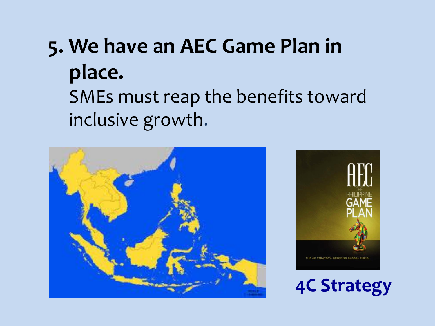## **5. We have an AEC Game Plan in place.**

SMEs must reap the benefits toward inclusive growth.





**4C Strategy**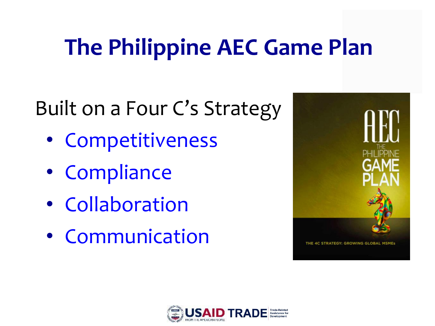## **The Philippine AEC Game Plan**

### Built on a Four C's Strategy

- Competitiveness
- Compliance
- Collaboration
- Communication



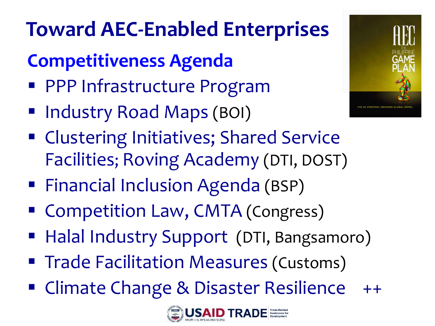## **Toward AEC-Enabled Enterprises**

#### **Competitiveness Agenda**

- **PPP Infrastructure Program**
- Industry Road Maps (BOI)
- **Example 25 Initiatives; Shared Service** Facilities; Roving Academy (DTI, DOST)
- **Financial Inclusion Agenda (BSP)**
- **Competition Law, CMTA (Congress)**
- **Halal Industry Support (DTI, Bangsamoro)**
- **Trade Facilitation Measures (Customs)**
- Climate Change & Disaster Resilience ++



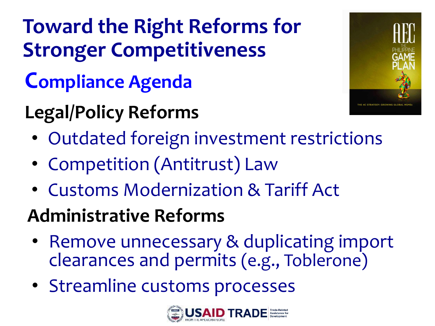# **Toward the Right Reforms for Stronger Competitiveness**

### **Compliance Agenda**

## **Legal/Policy Reforms**



- Outdated foreign investment restrictions
- Competition (Antitrust) Law
- Customs Modernization & Tariff Act

#### **Administrative Reforms**

- Remove unnecessary & duplicating import clearances and permits (e.g., Toblerone)
- Streamline customs processes

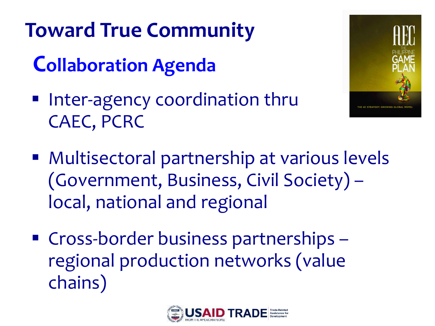## **Toward True Community**

### **Collaboration Agenda**

**Inter-agency coordination thru** CAEC, PCRC



- Multisectoral partnership at various levels (Government, Business, Civil Society) – local, national and regional
- Cross-border business partnerships regional production networks (value chains)

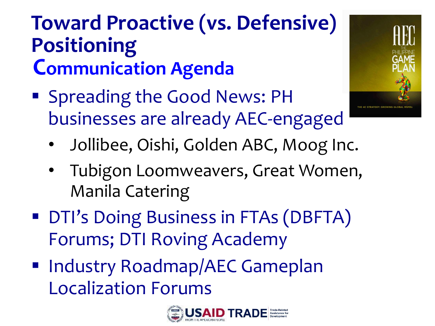#### **Toward Proactive (vs. Defensive) Positioning Communication Agenda**

**Spreading the Good News: PH** businesses are already AEC-engaged



- Jollibee, Oishi, Golden ABC, Moog Inc.
- Tubigon Loomweavers, Great Women, Manila Catering
- **DTI's Doing Business in FTAs (DBFTA)** Forums; DTI Roving Academy
- **Industry Roadmap/AEC Gameplan** Localization Forums

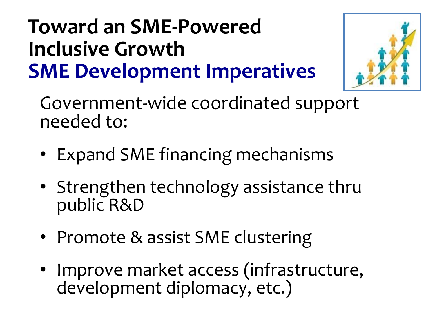#### **Toward an SME-Powered Inclusive Growth SME Development Imperatives**



Government-wide coordinated support needed to:

- Expand SME financing mechanisms
- Strengthen technology assistance thru public R&D
- Promote & assist SME clustering
- Improve market access (infrastructure, development diplomacy, etc.)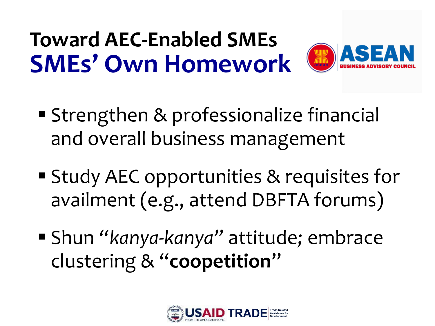## **Toward AEC-Enabled SMEs SMEs' Own Homework**



- **Strengthen & professionalize financial** and overall business management
- Study AEC opportunities & requisites for availment (e.g., attend DBFTA forums)
- Shun *"kanya-kanya"* attitude*;* embrace clustering & "**coopetition**"

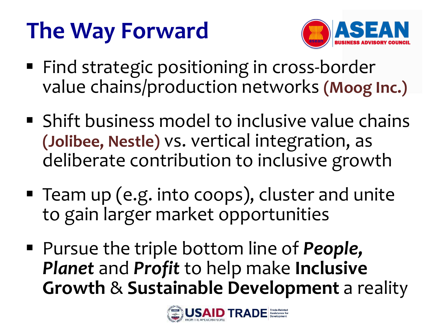## **The Way Forward**



- **Find strategic positioning in cross-border** value chains/production networks **(Moog Inc.)**
- **Shift business model to inclusive value chains (Jolibee, Nestle)** vs. vertical integration, as deliberate contribution to inclusive growth
- Team up (e.g. into coops), cluster and unite to gain larger market opportunities
- Pursue the triple bottom line of *People, Planet* and *Profit* to help make **Inclusive Growth** & **Sustainable Development** a reality